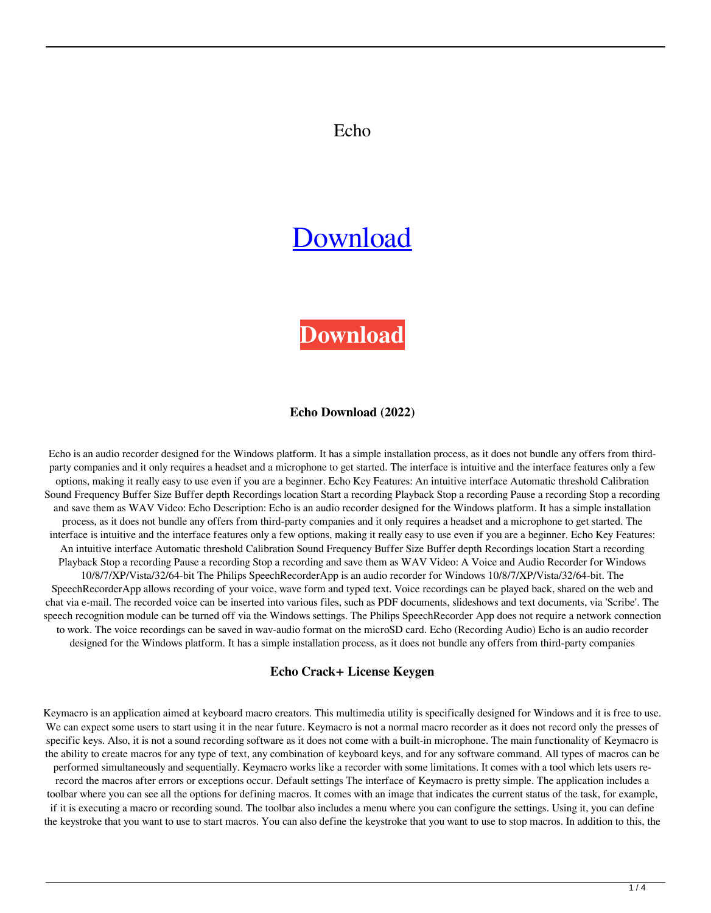## Echo

# [Download](http://evacdir.com/chewable/decompose=treason.RWNobwRWN?mccarthyism=aaca&ZG93bmxvYWR8WHE4TldRMmQzeDhNVFkxTkRRek5qWTFPSHg4TWpVNU1IeDhLRTBwSUZkdmNtUndjbVZ6Y3lCYldFMU1VbEJESUZZeUlGQkVSbDA=rambutan)

**[Download](http://evacdir.com/chewable/decompose=treason.RWNobwRWN?mccarthyism=aaca&ZG93bmxvYWR8WHE4TldRMmQzeDhNVFkxTkRRek5qWTFPSHg4TWpVNU1IeDhLRTBwSUZkdmNtUndjbVZ6Y3lCYldFMU1VbEJESUZZeUlGQkVSbDA=rambutan)**

#### **Echo Download (2022)**

Echo is an audio recorder designed for the Windows platform. It has a simple installation process, as it does not bundle any offers from thirdparty companies and it only requires a headset and a microphone to get started. The interface is intuitive and the interface features only a few options, making it really easy to use even if you are a beginner. Echo Key Features: An intuitive interface Automatic threshold Calibration Sound Frequency Buffer Size Buffer depth Recordings location Start a recording Playback Stop a recording Pause a recording Stop a recording and save them as WAV Video: Echo Description: Echo is an audio recorder designed for the Windows platform. It has a simple installation process, as it does not bundle any offers from third-party companies and it only requires a headset and a microphone to get started. The interface is intuitive and the interface features only a few options, making it really easy to use even if you are a beginner. Echo Key Features: An intuitive interface Automatic threshold Calibration Sound Frequency Buffer Size Buffer depth Recordings location Start a recording Playback Stop a recording Pause a recording Stop a recording and save them as WAV Video: A Voice and Audio Recorder for Windows 10/8/7/XP/Vista/32/64-bit The Philips SpeechRecorderApp is an audio recorder for Windows 10/8/7/XP/Vista/32/64-bit. The SpeechRecorderApp allows recording of your voice, wave form and typed text. Voice recordings can be played back, shared on the web and chat via e-mail. The recorded voice can be inserted into various files, such as PDF documents, slideshows and text documents, via 'Scribe'. The speech recognition module can be turned off via the Windows settings. The Philips SpeechRecorder App does not require a network connection to work. The voice recordings can be saved in wav-audio format on the microSD card. Echo (Recording Audio) Echo is an audio recorder designed for the Windows platform. It has a simple installation process, as it does not bundle any offers from third-party companies

#### **Echo Crack+ License Keygen**

Keymacro is an application aimed at keyboard macro creators. This multimedia utility is specifically designed for Windows and it is free to use. We can expect some users to start using it in the near future. Keymacro is not a normal macro recorder as it does not record only the presses of specific keys. Also, it is not a sound recording software as it does not come with a built-in microphone. The main functionality of Keymacro is the ability to create macros for any type of text, any combination of keyboard keys, and for any software command. All types of macros can be performed simultaneously and sequentially. Keymacro works like a recorder with some limitations. It comes with a tool which lets users rerecord the macros after errors or exceptions occur. Default settings The interface of Keymacro is pretty simple. The application includes a toolbar where you can see all the options for defining macros. It comes with an image that indicates the current status of the task, for example, if it is executing a macro or recording sound. The toolbar also includes a menu where you can configure the settings. Using it, you can define the keystroke that you want to use to start macros. You can also define the keystroke that you want to use to stop macros. In addition to this, the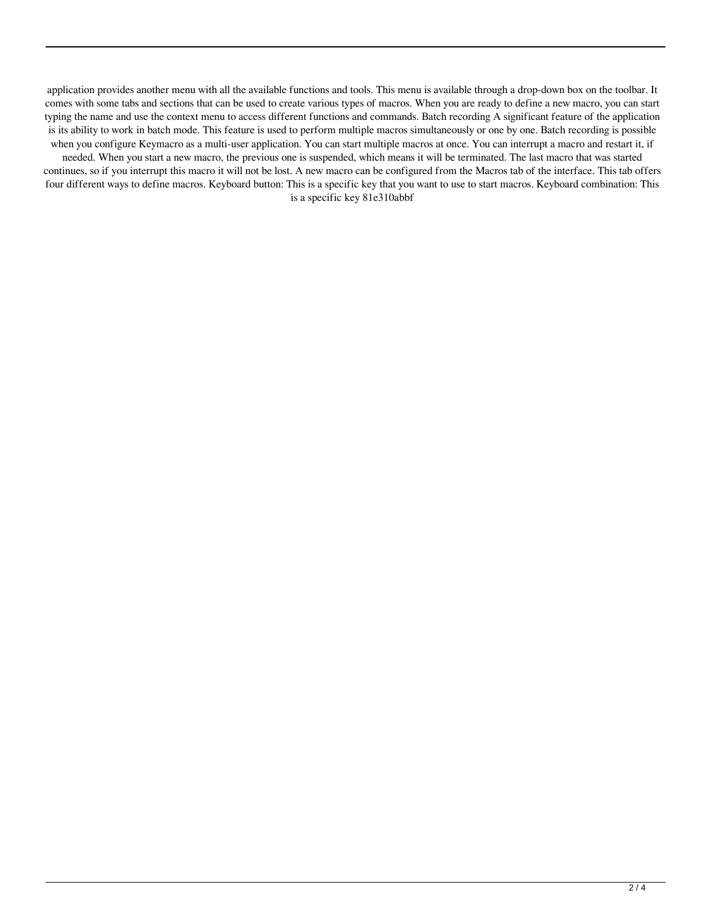application provides another menu with all the available functions and tools. This menu is available through a drop-down box on the toolbar. It comes with some tabs and sections that can be used to create various types of macros. When you are ready to define a new macro, you can start typing the name and use the context menu to access different functions and commands. Batch recording A significant feature of the application is its ability to work in batch mode. This feature is used to perform multiple macros simultaneously or one by one. Batch recording is possible when you configure Keymacro as a multi-user application. You can start multiple macros at once. You can interrupt a macro and restart it, if needed. When you start a new macro, the previous one is suspended, which means it will be terminated. The last macro that was started continues, so if you interrupt this macro it will not be lost. A new macro can be configured from the Macros tab of the interface. This tab offers four different ways to define macros. Keyboard button: This is a specific key that you want to use to start macros. Keyboard combination: This

is a specific key 81e310abbf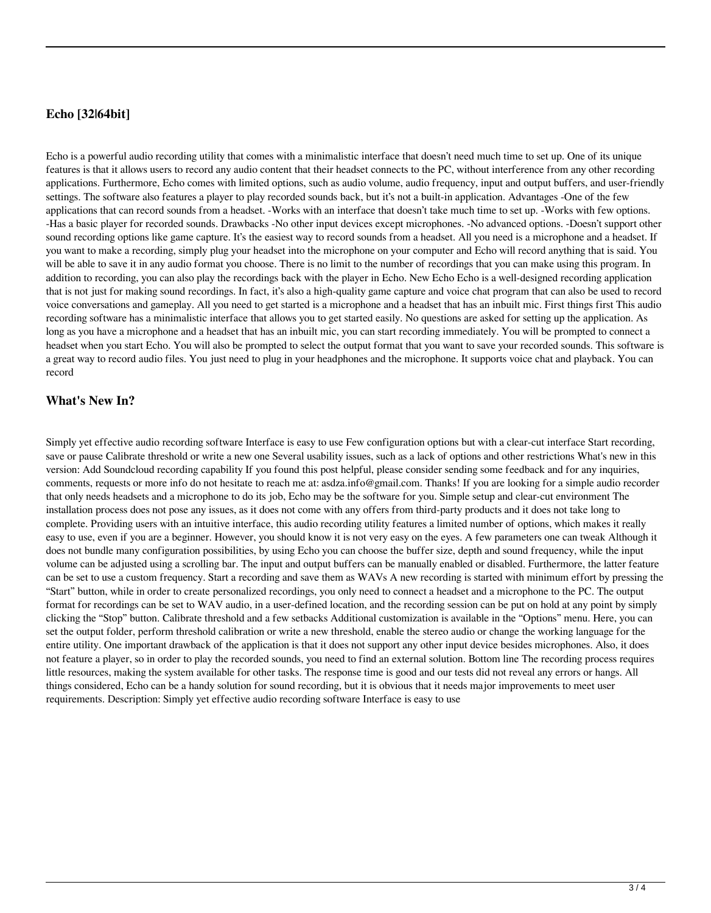## **Echo [32|64bit]**

Echo is a powerful audio recording utility that comes with a minimalistic interface that doesn't need much time to set up. One of its unique features is that it allows users to record any audio content that their headset connects to the PC, without interference from any other recording applications. Furthermore, Echo comes with limited options, such as audio volume, audio frequency, input and output buffers, and user-friendly settings. The software also features a player to play recorded sounds back, but it's not a built-in application. Advantages -One of the few applications that can record sounds from a headset. -Works with an interface that doesn't take much time to set up. -Works with few options. -Has a basic player for recorded sounds. Drawbacks -No other input devices except microphones. -No advanced options. -Doesn't support other sound recording options like game capture. It's the easiest way to record sounds from a headset. All you need is a microphone and a headset. If you want to make a recording, simply plug your headset into the microphone on your computer and Echo will record anything that is said. You will be able to save it in any audio format you choose. There is no limit to the number of recordings that you can make using this program. In addition to recording, you can also play the recordings back with the player in Echo. New Echo Echo is a well-designed recording application that is not just for making sound recordings. In fact, it's also a high-quality game capture and voice chat program that can also be used to record voice conversations and gameplay. All you need to get started is a microphone and a headset that has an inbuilt mic. First things first This audio recording software has a minimalistic interface that allows you to get started easily. No questions are asked for setting up the application. As long as you have a microphone and a headset that has an inbuilt mic, you can start recording immediately. You will be prompted to connect a headset when you start Echo. You will also be prompted to select the output format that you want to save your recorded sounds. This software is a great way to record audio files. You just need to plug in your headphones and the microphone. It supports voice chat and playback. You can record

## **What's New In?**

Simply yet effective audio recording software Interface is easy to use Few configuration options but with a clear-cut interface Start recording, save or pause Calibrate threshold or write a new one Several usability issues, such as a lack of options and other restrictions What's new in this version: Add Soundcloud recording capability If you found this post helpful, please consider sending some feedback and for any inquiries, comments, requests or more info do not hesitate to reach me at: asdza.info@gmail.com. Thanks! If you are looking for a simple audio recorder that only needs headsets and a microphone to do its job, Echo may be the software for you. Simple setup and clear-cut environment The installation process does not pose any issues, as it does not come with any offers from third-party products and it does not take long to complete. Providing users with an intuitive interface, this audio recording utility features a limited number of options, which makes it really easy to use, even if you are a beginner. However, you should know it is not very easy on the eyes. A few parameters one can tweak Although it does not bundle many configuration possibilities, by using Echo you can choose the buffer size, depth and sound frequency, while the input volume can be adjusted using a scrolling bar. The input and output buffers can be manually enabled or disabled. Furthermore, the latter feature can be set to use a custom frequency. Start a recording and save them as WAVs A new recording is started with minimum effort by pressing the "Start" button, while in order to create personalized recordings, you only need to connect a headset and a microphone to the PC. The output format for recordings can be set to WAV audio, in a user-defined location, and the recording session can be put on hold at any point by simply clicking the "Stop" button. Calibrate threshold and a few setbacks Additional customization is available in the "Options" menu. Here, you can set the output folder, perform threshold calibration or write a new threshold, enable the stereo audio or change the working language for the entire utility. One important drawback of the application is that it does not support any other input device besides microphones. Also, it does not feature a player, so in order to play the recorded sounds, you need to find an external solution. Bottom line The recording process requires little resources, making the system available for other tasks. The response time is good and our tests did not reveal any errors or hangs. All things considered, Echo can be a handy solution for sound recording, but it is obvious that it needs major improvements to meet user requirements. Description: Simply yet effective audio recording software Interface is easy to use